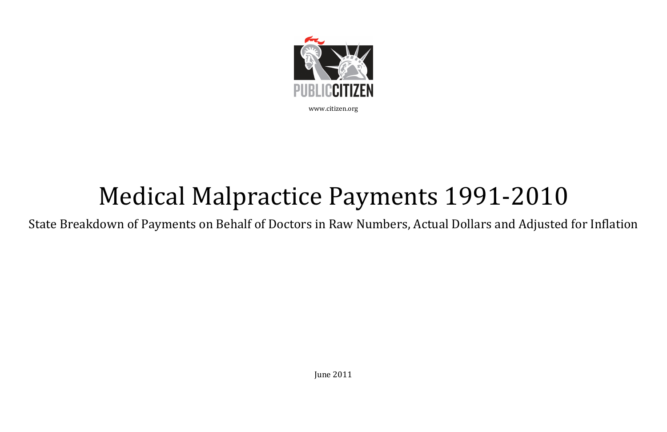

## Medical Malpractice Payments 1991-2010

State Breakdown of Payments on Behalf of Doctors in Raw Numbers, Actual Dollars and Adjusted for Inflation

June 2011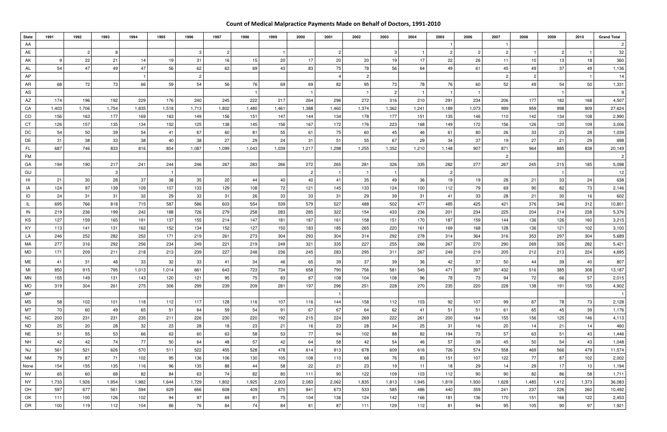## Count of Medical Malpractice Payments Made on Behalf of Doctors, 1991-2010

| <b>State</b>           | 1991      | 1992            | 1993                   | 1994      | 1995      | 1996           | 1997      | 1998      | 1999            | 2000      | 2001      | 2002      | 2003      | 2004      | 2005       | 2006           | 2007           | 2008       | 2009            | 2010       | <b>Grand Total</b> |
|------------------------|-----------|-----------------|------------------------|-----------|-----------|----------------|-----------|-----------|-----------------|-----------|-----------|-----------|-----------|-----------|------------|----------------|----------------|------------|-----------------|------------|--------------------|
| AA                     |           |                 |                        |           |           |                |           |           |                 |           |           |           |           |           |            |                |                |            |                 |            | 2                  |
| AE                     |           | $\overline{2}$  |                        |           |           | 3              | -2        |           |                 |           | 2         |           | 3         |           |            | $\overline{2}$ | $\overline{c}$ |            | 2               |            | 32                 |
| AK                     |           | 22              | 21                     | 14        | 19        | 31             | 16        | 15        | 20 <sup>1</sup> | 17        | 20        | 20        | 19        | 17        | 22         | 26             | 11             | 10         | 13              | 18         | 360                |
| AL                     | 54        | 47              | 49                     | 47        | 56        | 62             | 63        | 69        | 43              | 83        | 75        | 78        | 56        | 64        | 49         | 61             | 45             | 49         | 37 <sup>1</sup> | 49         | 1,136              |
| AP                     |           |                 |                        |           |           | $\overline{2}$ |           |           |                 |           |           |           |           |           |            |                | $\overline{2}$ |            |                 |            | 14                 |
| AR                     | 68        | 72              | 73                     | 66        | 59        | 54             | 56        | 76        | 69              | 69        | 82        | 95        | 73        | 78        | 76         | 60             | 52             | 49         | 54              | 50         | 1,331              |
| AS                     |           |                 |                        |           |           |                |           |           |                 |           |           |           |           |           |            |                |                |            |                 |            | 9                  |
| AZ                     | 174       | 196             | 192                    | 229       | 176       | 240            | 245       | 222       | 217             | 264       | 296       | 272       | 316       | 210       | 291        | 234            | 206            | 177        | 182             | 168        | 4,507              |
| CA                     | 1,403     | 1,706           | 1,754                  | 1,835     | 1,518     | 1,713          | 1,802     | 1,480     | 1,461           | 1,388     | 1,460     | 1,374     | 1,362     | 1,241     | 1,189      | 1,073          | 999            | 959        | 998             | 909        | 27,624             |
| CO                     | 156       | 163<br>157      | 177                    | 169       | 163       | 149            | 156       | 151       | 147             | 144       | 134       | 178       | 177       | 151       | 135<br>149 | 146<br>172     | 110            | 142<br>126 | 134             | 108<br>109 | 2,990              |
| CT<br>DC               | 126<br>54 | 50              | 135<br>39 <sup>°</sup> | 134<br>54 | 152<br>41 | 125<br>67      | 138<br>60 | 145<br>81 | 156<br>55       | 167<br>61 | 172<br>75 | 176<br>60 | 223<br>45 | 168<br>46 | 61         | 80             | 156<br>26      | 33         | 120<br>23       | 28         | 3,006<br>1,039     |
| DE                     | 31        | 38              | 33                     | 38        | 40        | 38             | 27        | 29        | 24              | 31        | 51        | 55        | 67        | 29        | 34         | 37             | 19             | 27         | 21              | 29         | 698                |
| FL.                    | 687       | 746             | 833                    | 816       | 854       | 1,087          | 1,099     | 1,043     | 1,039           | 1,217     | 1,298     | 1,255     | 1,352     | 1,210     | 1,148      | 907            | 871            | 964        | 885             | 838        | 20,149             |
| <b>FM</b>              |           |                 |                        |           |           |                |           |           |                 |           |           |           |           |           |            |                |                |            |                 |            | $\overline{c}$     |
| GA                     | 194       | 190             | 217                    | 241       | 244       | 246            | 267       | 283       | 266             | 272       | 265       | 281       | 326       | 335       | 282        | 277            | 267            | 245        | 215             | 185        | 5,098              |
| GU                     |           |                 |                        |           |           |                |           |           |                 |           |           |           |           |           | 2          |                |                |            |                 |            | 12 <sup>2</sup>    |
| H <sub>l</sub>         | 21        | 30 <sup>°</sup> | 28                     | 37        | 38        | 35             | 20        | 44        | 40              | 40        | -41       | 35        | 49        | 36        | 19         | 19             | 28             | 21         | 33              | 24         | 638                |
| IA                     | 124       | 97              | 139                    | 109       | 107       | 133            | 129       | 108       | 72              | 121       | 145       | 133       | 124       | 100       | 112        | 79             | 69             | 90         | 82              | 73         | 2,146              |
| ID                     | 24        | 31              | 31                     | 32        | 29        | 33             | 31        | 26        | 33              | 33        | 31        | 29        | 39        | 31        | 41         | 33             | 28             | 21         | 30 <sup>°</sup> | 16         | 602                |
| IL.                    | 695       | 766             | 818                    | 715       | 587       | 586            | 603       | 554       | 539             | 579       | 527       | 488       | 502       | 477       | 485        | 425            | 421            | 376        | 346             | 312        | 10,801             |
| IN                     | 219       | 236             | 199                    | 242       | 188       | 726            | 279       | 258       | 283             | 285       | 322       | 154       | 433       | 236       | 201        | 234            | 225            | 204        | 214             | 238        | 5,376              |
| KS                     | 127       | 159             | 165                    | 191       | 137       | 155            | 214       | 147       | 181             | 187       | 161       | 158       | 151       | 170       | 187        | 159            | 144            | 136        | 126             | 160        | 3,215              |
| KY                     | 113       | 141             | 131                    | 162       | 152       | 134            | 152       | 127       | 150             | 183       | 185       | 265       | 220       | 161       | 169        | 168            | 128            | 136        | 121             | 102        | 3,100              |
| LA                     | 246       | 252             | 282                    | 252       | 171       | 219            | 261       | 273       | 304             | 293       | 304       | 314       | 292       | 278       | 314        | 364            | 316            | 353        | 297             | 304        | 5,689              |
| MA                     | 277       | 316             | 292                    | 256       | 234       | 249            | 221       | 219       | 249             | 321       | 335       | 227       | 255       | 266       | 267        | 270            | 290            | 269        | 326             | 282        | 5,421              |
| MD                     | 171       | 209             | 211                    | 218       | 213       | 239            | 227       | 248       | 236             | 245       | 283       | 295       | 311       | 267       | 249        | 219            | 205            | 212        | 213             | 224        | 4,695              |
| ME                     | 41        | 31              | 48                     | 33        | 32        | 33             | 41        | 34        | 46              | 65        | 39        | 37        | 39        | 36        | 42         | 37             | 50             | 44         | 39              | 40         | 807                |
| MI                     | 850       | 915             | 795                    | 1,013     | 1,014     | 661            | 643       | 723       | 734             | 658       | 790       | 756       | 581       | 545       | 471        | 397            | 432            | 516        | 385             | 308        | 13,187             |
| <b>MN</b>              | 155       | 149             | 131                    | 143       | 120       | 121            | 95        | 75        | 83              | 87        | 108       | 104       | 108       | 96        | 78         | 73             | 94             | 72         | 66              | 57         | 2,015              |
| <b>MO</b>              | 319       | 304             | 261                    | 275       | 306       | 299            | 239       | 209       | 281             | 197       | 296       | 251       | 228       | 270       | 235        | 220            | 228            | 138        | 191             | 155        | 4,902              |
| <b>MP</b>              |           |                 |                        |           |           |                |           |           |                 |           |           |           |           |           |            |                |                |            |                 |            |                    |
| <b>MS</b>              | 58        | 102             | 101                    | 118       | 112       | 117            | 128       | 116       | 107             | 116       | 144       | 158       | 112       | 103       | 92         | 107            | 99             | 87         | 78              | 73         | 2,128              |
| <b>MT</b>              | 70        | 60              | 49                     | 65        | 51        | 64             | 59        | 54        | 91              | 67        | 67        | 64        | 62        | 41        | 51         | 51             | 61             | 65         | 45              | 39         | 1,176              |
| <b>NC</b>              | 200       | 231             | 231                    | 235       | 211       | 226            | 230       | 220       | 192             | 215       | 224       | 269       | 222       | 261       | 200        | 164            | 155            | 156        | 125             | 146        | 4,113              |
| <b>ND</b>              | 25        | 20              | 28                     | 32<br>66  | 23<br>63  | 28             | 18        | 23        | 21              | 16<br>77  | 23<br>94  | 28<br>102 | 34        | 25        | 31<br>194  | 16             | 20<br>57       | 14         | 21              | 14<br>43   | 460                |
| <b>NE</b><br><b>NH</b> | 51<br>42  | 55<br>42        | 53<br>74               | 77        | 50        | 60<br>64       | 63<br>48  | 58<br>57  | 53<br>42        | 64        | 58        | 42        | 88<br>54  | 82<br>46  | 57         | 73<br>39       | 45             | 63<br>50   | 51<br>54        | 43         | 1,446<br>1,048     |
| <b>NJ</b>              | 561       | 521             | 626                    | 570       | 511       | 522            | 455       | 528       | 478             | 614       | 913       | 678       | 609       | 616       | 726        | 574            | 558            | 469        | 566             | 479        | 11,574             |
| <b>NM</b>              | 79        | 87              | 71                     | 102       | 95        | 136            | 106       | 130       | 105             | 108       | 110       | 68        | 76        | 83        | 151        | 107            | 122            | 77         | 87              | 102        | 2,002              |
| None                   | 154       | 155             | 135                    | 116       | 96        | 135            | 88        | 44        | 58              | 22        | 21        | 23        | 19        | 11        | 18         | 29             | 14             | 29         | 17              | 10         | 1,194              |
| <b>NV</b>              | 65        | 60              | 68                     | 82        | 84        | 63             | 74        | 82        | 80              | 111       | 90        | 122       | 109       | 103       | 112        | 90             | 90             | 82         | 86              | 58         | 1,711              |
| <b>NY</b>              | 1,733     | 1,926           | 1,954                  | 1,982     | 1,644     | 1,729          | 1,802     | 1,925     | 2,003           | 2,083     | 2,062     | 1,835     | 1,813     | 1,945     | 1,819      | 1,930          | 1,628          | 1,485      | 1,412           | 1,373      | 36,083             |
| OH                     | 597       | 677             | 561                    | 594       | 629       | 666            | 608       | 409       | 870             | 841       | 673       | 533       | 585       | 486       | 440        | 359            | 241            | 237        | 226             | 260        | 10,492             |
| OK                     | 111       | 100             | 126                    | 102       | 94        | 97             | 69        | 81        | 75              | 104       | 136       | 124       | 142       | 166       | 181        | 136            | 170            | 151        | 166             | 122        | 2,453              |
| OR                     | 100       | 119             | 112                    | 104       | 86        | 76             | 84        | 74        | 84              | 81        | 87        | 111       | 129       | 112       | 81         | 94             | 95             | 105        | 90              | 97         | 1,921              |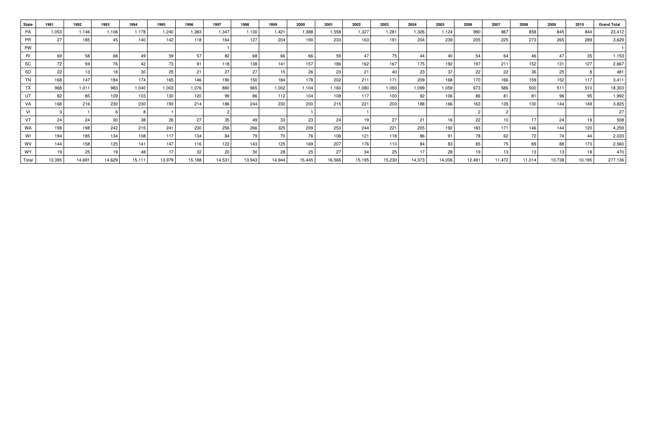| <b>State</b> | 1991   | 1992   | 1993            | 1994   | 1995   | 1996   | 1997   | 1998   | 1999            | 2000   | 2001   | 2002   | 2003             | 2004   | 2005   | 2006   | 2007   | 2008            | 2009   | 2010   | <b>Grand Total</b> |
|--------------|--------|--------|-----------------|--------|--------|--------|--------|--------|-----------------|--------|--------|--------|------------------|--------|--------|--------|--------|-----------------|--------|--------|--------------------|
| PA           | 1,053  | 1,146  | 1.106           | 1,178  | 1.240  | 1,383  | 1,347  | 1,130  | 1.421           | 1,388  | 1,558  | 1,327  | 1,281            | 1.326  | 1,124  | 990    | 867    | 858             | 845    | 844    | 23,412             |
| <b>PR</b>    | 27     | 185    | 45              | 140    | 142    | 118    | 164    | 127    | 204             | 190    | 233    | 163    | 191              | 204    | 239    | 205    | 225    | 273             | 265    | 289    | 3,629              |
| <b>PW</b>    |        |        |                 |        |        |        |        |        |                 |        |        |        |                  |        |        |        |        |                 |        |        |                    |
| RI           | 69     | 58     | 68              | 49     | 59     | 57     | 82     | 68     | 66              | 66     | 59     | 47     | 75 l             | 44     | 40     | 54     | 64     | 46              | 47     | 35     | 1,153              |
| SC           | 72     | 59     | 76              | 42     | 73     | 91     | 118    | 138    | 141             | 157    | 186    | 162    | 167              | 175    | 192    | 197    | 211    | 152             | 131    | 127    | 2,667              |
| SD           | 22     | 13 I   | 18 <sub>1</sub> | 30     | 25     | 21     | 27     | 27     | 15 <sub>1</sub> | 26     | 23     | 21     | 40 l             | 23     | 37     | 22     | 22     | 36 <sup>°</sup> | 25     | 8      | 481                |
| <b>TN</b>    | 168    | 147    | 184             | 174    | 165    | 146    | 190    | 150    | 184             | 178    | 202    | 211    | 171              | 209    | 168    | 170    | 166    | 159             | 152    | 117    | 3,411              |
| <b>TX</b>    | 968    | 1,011  | 983             | 1,040  | 1,003  | 1,076  | 880    | 965    | 1,002           | 1,104  | 1,160  | 1,080  | 1,093            | 1,099  | 1,059  | 673    | 586    | 500             | 511    | 510    | 18,303             |
| UT           | 82     | 85     | 109             | 103    | 130    | 120    | 99     | 86     | 112             | 104    | 108    | 117    | 100              | 92     | 106    | 86     | 81     | 81              | 96     | 95     | 1,992              |
| VA           | 168    | 216    | 230             | 230    | 193    | 214    | 186    | 244    | 230             | 200    | 215    | 221    | 203              | 188    | 166    | 163    | 135    | 130             | 144    | 149    | 3,825              |
| VI           |        |        |                 |        |        |        |        |        |                 |        |        |        |                  |        |        |        |        |                 |        |        | 27                 |
| <b>VT</b>    | 24     | 24     | 30 <sub>1</sub> | 38     | 26     | 27     | 35     | 49     | 33              | 23     | 24     | 19     | 27               | 21     | 16     | 22     | 10     | 17              | 24     | 19     | 508                |
| <b>WA</b>    | 198    | 198    | 242             | 215    | 241    | 230    | 256    | 266    | 325             | 209    | 253    | 244    | 221              | 205    | 192    | 183    | 171    | 146             | 144    | 120    | 4,259              |
| WI           | 194    | 185    | 134             | 108    | 117    | 134    | 84     | 79     | 70              | 76     | 106    | 121    | 118              | 86     | 91     | 78     | 62     | 72 i            |        | 44     | 2,033              |
| WV           | 144    | 158    | 125             | 141    | 147    | 116    | 122    | 143    | 125             | 169    | 207    | 176    | 110 <sup>1</sup> | 84     | 83     | 85     | 75     | 89              | 88     | 173    | 2,560              |
| <b>WY</b>    | 19     | 25     | 19              | 48     | 17     | 32     | 20     | 30     | 28              | 25     | 27     | 34     | 25               | 17     | 28     |        | 13     | 13              | 13     | 18     | 470                |
| Total        | 13,395 | 14,691 | 14,629          | 15,111 | 13,979 | 15,188 | 14,531 | 13,943 | 14,944          | 15,445 | 16,566 | 15,195 | 15,230           | 14,373 | 14,006 | 12,491 | 11,472 | 11,014          | 10,738 | 10,195 | 277,136            |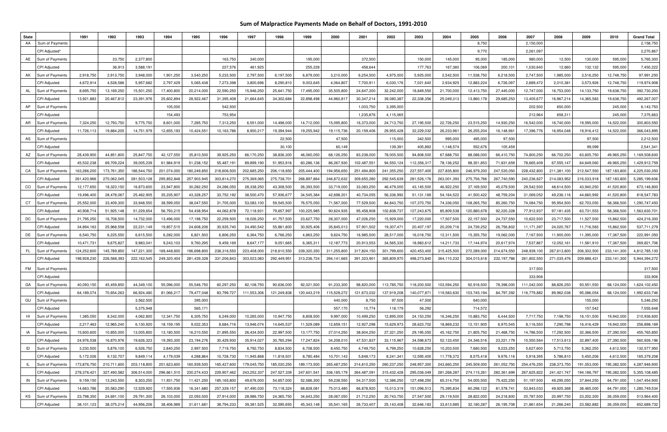## Sum of Malpractice Payments Made on Behalf of Doctors, 1991-2010

| <b>State</b> |                                | 1991                     | 1992                     | 1993                     | 1994                     | 1995                     | 1996                      | 1997                      | 1998                      | 1999                     | 2000                      | 2001                     | 2002                     | 2003                      | 2004                      | 2005                     | 2006                     | 2007                     | 2008                     | 2009                     | 2010                     | <b>Grand Total</b>           |
|--------------|--------------------------------|--------------------------|--------------------------|--------------------------|--------------------------|--------------------------|---------------------------|---------------------------|---------------------------|--------------------------|---------------------------|--------------------------|--------------------------|---------------------------|---------------------------|--------------------------|--------------------------|--------------------------|--------------------------|--------------------------|--------------------------|------------------------------|
| AA           | Sum of Payments                |                          |                          |                          |                          |                          |                           |                           |                           |                          |                           |                          |                          |                           |                           | 8,750                    |                          | 2,150,000                |                          |                          |                          | 2,158,750                    |
|              | CPI Adjusted*                  |                          |                          |                          |                          |                          |                           |                           |                           |                          |                           |                          |                          |                           |                           | 9,770                    |                          | 2,261,097                |                          |                          |                          | 2,270,867                    |
| AE           | Sum of Payments                |                          | 23,750                   | 2,377,800                |                          |                          | 163,750                   | 340,000                   |                           | 195,000                  |                           | 372,500                  |                          | 150,000                   | 145,000                   | 95,000                   | 185,000                  | 980,000                  | 12,500                   | 130,000                  | 595,000                  | 5,765,300                    |
|              | <b>CPI Adjusted</b>            |                          | 36,913                   | 3,588,191                |                          |                          | 227,576                   | 461,925                   |                           | 255,228                  |                           | 458,644                  |                          | 177,763                   | 167,380                   | 106,069                  | 200,101                  | 1,030,640                | 12,660                   | 132,132                  | 595,000                  | 7,450,222                    |
| AK           | Sum of Payment                 | 2,918,750                | 2,913,750                | 3,948,000                | 1,901,250                | 3,540,250                | 5,233,500                 | 2,797,500                 | 6,197,500                 | 6,879,000                | 3,210,000                 | 6,254,500                | 4,975,000                | 5,925,000                 | 2,542,500                 | 11,538,750               | 6,218,500                | 2,747,500                | 1,985,000                | 3,516,250                | 12,748,750               | 97,991,250                   |
|              | <b>CPI Adjusted</b>            | 4,672,914                | 4,528,586                | 5,957,682                | 2,797,429                | 5,065,438                | 7,273,398                 | 3,800,696                 | 8,290,810                 | 9,003,645                | 4,064,80                  | 7,700,91                 | 6,030,176                | 7,021,640                 | 2,934,925                 | 12,883,224               | 6,726,097                | 2,889,472                | 2,010,381                | 3,573,926                | 12,748,750               | 119,974,908                  |
| AL           | Sum of Payments                | 8,695,750                | 13,169,250               | 15,501,250               | 17,400,800               | 20,214,000               | 22,590,250                | 15,946,250                | 25,641,750                | 17,495,000               | 35,505,800                | 24,647,300               | 32,242,000               | 18,849,550                | 21,700,000                | 12,413,750               | 27,445,000               | 12,747,000               | 16,753,000               | 14, 133, 750             | 19,638,750               | 392,730,200                  |
|              | <b>CPI Adjusted</b>            | 13,921,883               | 20,467,812               | 23,391,976               | 25,602,89                | 28,922,467               | 31,395,408                | 21,664,645                | 34,302,684                | 22,898,498               | 44,960,81                 | 30,347,214               | 39,080,387               | 22,338,356                | 25,049,313                | 13,860,178               | 29,685,253               | 13,405,67                | 16,967,214               | 14,365,583               | 19,638,750               | 492,267,007                  |
| AP           | Sum of Payments                |                          |                          |                          | 105,000                  |                          | 542,500                   |                           |                           |                          |                           | 1,003,750                | 3,395,000                |                           |                           |                          |                          | 202,500                  | 650,000                  |                          | 245,000                  | 6,143,750                    |
|              | <b>CPI Adjusted</b>            |                          |                          |                          | 154,493                  |                          | 753,954                   |                           |                           |                          |                           | 1,235,876                | 4,115,065                |                           |                           |                          |                          | 212,964                  | 658,311                  |                          | 245,000                  | 7,375,663                    |
| AR           | Sum of Payment                 | 7,324,250                | 12,793,750               | 9,775,750                | 8,601,000                | 7,285,750                | 7,313,250                 | 6,551,000                 | 14,498,000                | 14,712,000               | 15,095,800                | 16,373,000               | 24,713,750               | 27,195,500                | 22,726,250                | 23,515,250               | 14,930,250               | 16,542,000               | 16,740,000               | 19,595,000               | 14,522,000               | 300,803,550                  |
|              | CPI Adjusted                   | 11,726,113               | 19,884,205               | 14,751,979               | 12,655,193               | 10,424,551               | 10,163,786                | 8,900,217                 | 19,394,944                | 19,255,942               | 19,115,736                | 20,159,406               | 29,955,428               | 32,229,032                | 26,233,96                 | 26,255,204               | 16,148,961               | 17,396,776               | 16,954,048               | 19,916,412               | 14,522,000               | 366,043,895                  |
| AS           | Sum of Payment                 |                          |                          |                          |                          |                          |                           |                           | 22,500                    |                          | 47,500                    |                          | 115,000                  | 342,500                   | 995,000                   | 495,000                  | 97,500                   |                          |                          | 97,500                   |                          | 2,212,500                    |
|              | CPI Adjusted                   |                          |                          |                          |                          |                          |                           |                           | 30,100                    |                          | 60,149                    |                          | 139,391                  | 405,892                   | 1,148,574                 | 552,676                  | 105,459                  |                          |                          | 99,099                   |                          | 2,541,34                     |
| AZ           | Sum of Payment                 | 28,439,900               | 44,851,800               | 25,847,750               | 42, 127, 550             | 35,810,500               | 39,925,250                | 66,170,250                | 38,836,300                | 46,060,050               | 68,126,250                | 83,238,000               | 78,005,500               | 94,808,500                | 67,688,750                | 88,088,000               | 66,410,750               | 74,800,250               | 66,702,250               | 63,605,750               | 49,965,250               | 1,169,508,600                |
|              | <b>CPI Adjusted</b>            | 45,532,238               | 69,709,224               | 39,005,239               | 61,984,91                | 51,238,152               | 55,487,19                 | 89,899,190                | 51,953,916                | 60,286,136               | 86,267,930                | 102,487,551              | 94,550,124               | 112,356,317               | 78,136,252                | 98, 351, 853             | 71,831,659               | 78,665,409               | 67,555,147               | 64,649,060               | 49,965,250               | 1,429,912,759                |
| CA           | Sum of Payments                | 163,286,200              | 173,761,350              | 186,544,750              | 201,074,000              | 180,249,850              | 218,606,500               | 202,685,250               | 206,118,650               | 205,444,400              | 194,956,650               | 251,494,800              | 241,355,250              | 237,557,400               | 227,835,800               | 246,979,200              | 247,535,050              | 228,432,800              | 211,381,100              | 212,547,550              | 187, 183, 800            | 4,225,030,350                |
|              | <b>CPI Adjusted</b>            | 261,420,966              | 270,062,045              | 281,503,128              | 295,852,848              | 257,903,945              | 303,814,270               | 275,369,065               | 275,738,70                | 268,897,864              | 246,872,632               | 309,655,280              | 292,545,639              | 281,526,176               | 263,001,393               | 275,756,766              | 267,740,590              | 240,236,627              | 214,083,952              | 216,033,918              | 187,183,800              | 5,285,199,606                |
| CO           | Sum of Payments                | 12,177,650               | 18,323,150               | 16,873,600               | 23,947,800               | 30,282,250               | 24,286,050                | 28,338,250                | 43,308,500                | 26,393,500               | 33,719,000                | 33,083,250               | 46,479,000               | 43,145,500                | 46,922,250                | 37,169,500               | 45,079,500               | 29,542,500               | 48,614,500               | 43,940,250               | 41,520,800               | 673,146,800                  |
|              | <b>CPI Adjusted</b>            | 19,496,400               | 28,478,067               | 25,462,905               | 35,235,90                | 43,328,257               | 33,752,192                | 38,500,470                | 57,936,67                 | 34,545,384               | 42,698,20                 | 40,734,055               | 56,336,992               | 51,131,169                | 54,164,522                | 41,500,422               | 48,759,204               | 31,069,052               | 49,236,116               | 44,660,992               | 41,520,800               | 818,547,783                  |
| CT           | Sum of Payment                 | 25,552,000               | 33,409,300               | 33,948,550               | 38,599,050               | 38,047,550               | 31,705,000                | 53,083,100                | 59,545,500                | 76,575,050               | 71,567,000                | 77,529,500               | 84,843,750               | 107,370,750               | 74,336,050                | 108,265,750              | 85,260,750               | 74,084,750               | 95,954,500               | 62,703,050               | 58,366,500               | 1,290,747,450                |
|              | <b>CPI Adjusted</b>            | 40,908,714               | 51,925,148               | 51,229,654               | 56,793,21                | 54,438,954               | 44,062,878                | 72,118,931                | 79,657,997                | 100,225,985              | 90,624,93                 | 95,458,908               | 102,838,737              | 127,243,675               | 85,809,538                | 120,880,678              | 92,220,328               | 77,912,937               | 97,181,435               | 63,731,553               | 58,366,500               | 1,563,630,701                |
| DC           | Sum of Payment                 | 21,795,250               | 16,708,500               | 14,732,000               | 13,496,000               | 17,198,750               | 22,259,500                | 18,026,250                | 41,757,500                | 23,627,750               | 28,307,000                | 47,026,250               | 15,929,000               | 17,220,000                | 17,507,500                | 22,157,500               | 24,737,550               | 10,622,500               | 23,717,500               | 11,527,500               | 15,862,500               | 424,216,300                  |
|              | <b>CPI Adjusted</b>            | 34,894,163               | 25,968,558               | 22,231,149               | 19,857,51                | 24,608,206               | 30,935,740                | 24,490,542                | 55,861,800                | 30,925,406               | 35,845,013                | 57,901,50                | 19,307,47                | 20,407,197                | 20,209,716                | 24,739,252               | 26,756,802               | 11, 171, 397             | 24,020,767               | 11,716,583               | 15,862,500               | 537,711,279                  |
| DE           | Sum of Payments                | 6,540,750                | 6,225,550                | 6,615,500                | 6,282,000                | 6,821,500                | 6,806,250                 | 6,364,750                 | 6,766,250                 | 4,863,250                | 9,624,750                 | 16,985,500               | 28,517,000               | 16,018,750                | 12,311,500                | 15,355,750               | 19,062,000               | 7,167,500                | 11,900,000               | 11,395,000               | 17,367,500               | 222,991,050                  |
|              | <b>CPI Adjusted</b>            | 10,471,731               | 9,675,827                | 9,983,04                 | 9,243,103                | 9,760,295                | 9,459,169                 | 8,647,177                 | 9,051,665                 | 6,365,311                | 12, 187, 773              | 20,913,553               | 34,565,330               | 18,983,612                | 14,211,733                | 17,144,974               | 20,617,974               | 7,537,867                | 12,052,161               | 11,581,910               | 17,367,500               | 269,821,706                  |
| <b>FL</b>    | Sum of Payment                 | 124,252,600              | 145,789,850              | 147,221,300              | 169,448,600              | 196,698,800              | 238,316,550               | 223,408,000               | 218,610,550               | 239,320,350              | 311,255,800               | 317,824,150              | 301,799,600              | 420,453,400               | 315,425,500               | 272,289,000              | 214,674,550              | 248,939,100              | 267,613,600              | 206,302,500              | 233,141,300              | 4,812,785,100                |
|              | <b>CPI Adjusted</b>            | 198,928,230              | 226,588,393              | 222,162,545              | 249,320,404              | 281,439,328              | 331,206,843               | 303,523,083               | 292,449,951               | 313,236,724              | 394,141,665               | 391,323,90               | 365,809,970              | 498,273,840               | 364,110,232               | 304,015,618              | 232,197,786              | 261,802,550              | 271,035,476              | 209,686,43               | 233,141,300              | 5,944,394,272                |
| <b>FM</b>    | Sum of Payments                |                          |                          |                          |                          |                          |                           |                           |                           |                          |                           |                          |                          |                           |                           |                          |                          | 317,500                  |                          |                          |                          | 317,500                      |
|              | CPI Adjusted                   |                          |                          |                          |                          |                          |                           |                           |                           |                          |                           |                          |                          |                           |                           |                          |                          | 333,906                  |                          |                          |                          | 333,906                      |
| GA           | Sum of Payments                | 40,093,150               | 45,459,850               | 44,349,100               | 55,096,000               | 55,546,750               | 60,297,250                | 82,108,750                | 90,636,000                | 92,021,500               | 91,233,300                | 98,820,000               | 113,785,750              | 118,200,500               | 103,594,250               | 92,918,500               | 78,398,000               | 111,042,000              | 88,826,250               | 93,551,550               | 68,124,000               | 1,624,102,450                |
|              | <b>CPI Adjusted</b>            | 64,189,074               | 70,654,263               | 66,924,480               | 81,066,217               | 79,477,048               | 83,799,727                | 111,553,306               | 121,249,838               | 120,443,219              | 115,528,272               | 121,673,032              | 137,919,208              | 140,077,871               | 119,583,630               | 103,745,194              | 84,797,392               | 116,779,882              | 89,962,038               | 95,086,054               | 68,124,000               | 1,992,633,746                |
| GU           | Sum of Payments                |                          |                          | 3,562,500                |                          | 395,000                  |                           |                           |                           |                          | 440,000                   | 8,750                    | 97,500                   | 47,500                    |                           | 640,000                  |                          |                          |                          | 155,000                  |                          | 5,346,250                    |
|              | <b>CPI</b> Adjusted            |                          |                          | 5,375,948                |                          | 565,171                  |                           |                           |                           |                          | 557,170                   | 10,774                   | 118,179                  | 56,292                    |                           | 714,572                  |                          |                          |                          | 157,542                  |                          | 7,555,648                    |
| HI           | Sum of Payments                | 1,385,050                | 8,342,000                | 4,062,800                | 12,341,750               | 6,305,750                | 6,249,000                 | 10,265,000<br>13,946,074  | 10,947,750                | 8,808,500                | 9,997,000                 | 10,499,250               | 12,895,000               | 24,153,250                | 16,346,250                | 10,883,750               | 6,444,500                | 7,717,750                | 7,198,750                | 16, 151, 500             | 19,942,000               | 210,936,600                  |
|              | <b>CPI Adjusted</b>            | 2,217,463                | 12,965,240<br>10,855,000 | 6,130,920                | 18, 159, 195             | 9,022,353                | 8,684,716                 |                           | 14,645,537<br>22,997,500  | 11,529,089               | 12,659,151                | 12,927,298               | 15,629,973               | 28,623,702                | 18,869,232                | 12,151,905               | 6,970,545                | 8,116,550                | 7,290,798                | 16,416,429<br>32,366,500 | 19,942,000               | 256,898,169                  |
| IA           | Sum of Payments                | 15,600,600               |                          | 13,005,850               | 13,180,500               | 16,210,550               | 21,895,550                | 26,434,500                |                           | 13,177,750               | 27,014,250                | 38,604,250               | 27,321,250               | 29,195,050                | 45,162,750                | 21,805,750               | 21,468,750               | 14,786,500               | 17,292,500               |                          | 27,390,500               | 455,765,850                  |
|              | CPI Adjusted                   | 24,976,538               | 16,870,976               | 19,626,323               | 19,393,300               | 23,194,276               | 30,429,930                | 35,914,027                | 30,765,294                | 17,247,824               | 34,208,010                | 47,531,837               | 33,115,967               | 34,598,673                | 52,133,450                | 24,346,516               | 23,221,179               | 15,550,564               | 17,513,613               | 32,897,400               | 27,390,500               | 560,926,196                  |
| ID           | Sum of Payment                 | 3,230,500                | 5,876,100                | 6,526,750                | 2,840,250                | 2,997,500                | 7,719,750                 | 8,792,750                 | 8,834,500                 | 6,708,500                | 8,450,750                 | 4,749,750                | 6,799,250                | 10,628,250                | 10,203,500                | 7,680,500                | 9,223,250                | 5,627,600                | 5,713,750                | 5,362,250                | 4,612,500                | 132,577,950                  |
| - IL         | CPI Adjusted<br>Sum of Payment | 5,172,026<br>173,876,750 | 9,132,707<br>210,711,600 | 9,849,114<br>203,118,800 | 4,179,039<br>201,623,600 | 4,288,864<br>160,939,500 | 10,728,730<br>165,427,600 | 11,945,868<br>179,045,750 | 11,818,501<br>185,030,250 | 8,780,484<br>189,173,500 | 10,701,143<br>265,487,250 | 5,848,173<br>214,810,250 | 8,241,341<br>260,237,250 | 12,595,400<br>248,957,300 | 11,778,372<br>243,660,250 | 8,575,418<br>245,509,000 | 9,976,116<br>261,052,750 | 5,918,395<br>254,476,250 | 5,786,810<br>238,373,750 | 5,450,206<br>191,053,000 | 4,612,500<br>195,382,500 | 165,379,208<br>4,287,946,900 |
|              | <b>CPI Adjusted</b>            | 278,376,421              | 327,490,582              | 306,514,000              | 296,661,510              | 230, 274, 433            | 229,907,462               | 243,252,337               | 247,527,339               | 247,601,541              | 336,185,179               | 264,487,091              | 315,432,428              | 295,036,049               | 281,268,287               | 274,115,261              | 282,361,699              | 267,625,822              | 241,421,747              | 194,186,797              | 195,382,500              | 5,355,108,485                |
| IN           | Sum of Payments                | 9,159,150                | 13,243,550               | 8,303,250                | 11,931,750               | 11,421,250               | 185,165,800               | 49,676,000                | 54,657,000                | 52,586,300               | 59,238,550                | 54,317,500               | 12,386,250               | 127,498,250               | 65,314,750                | 54,005,500               | 75,422,250               | 51,197,500               | 49,295,050               | 37,844,250               | 64,791,000               | 1,047,454,900                |
|              | <b>CPI Adjusted</b>            | 14,663,786               | 20,583,290               | 12,529,920               | 17,555,936               | 16,341,680               | 257,339,157               | 67,490,030                | 73,118,324                | 68,828,081               | 75,013,480                | 66,878,920               | 15,013,319               | 151,096,513               | 75,395,834                | 60,298,122               | 81,578,741               | 53,843,033               | 49,925,368               | 38,465,000               | 64,791,000               | 1,280,749,534                |
| KS           | Sum of Payment                 | 23,798,350               | 24,691,100               | 29,791,300               | 26,103,000               | 22,093,500               | 27,914,000                | 28,986,750                | 24,365,750                | 34,643,250               | 28,067,050                | 21,712,250               | 20,743,750               | 27,547,500                | 29,119,500                | 28,822,000               | 24,218,800               | 20,787,500               | 20,997,750               | 23,202,300               | 26,359,000               | 513,964,400                  |
|              | CPI Adjusted                   | 38,101,123               | 38,375,214               | 44,956,206               | 38,406,989               | 31,611,681               | 38,794,233                | 39,381,525                | 32,595,693                | 45,343,148               | 35,541,165                | 26,733,407               | 25,143,408               | 32,646,183                | 33,613,985                | 32,180,287               | 26,195,708               | 21,861,654               | 21,266,240               | 23,582,882               | 26,359,000               | 652,689,732                  |
|              |                                |                          |                          |                          |                          |                          |                           |                           |                           |                          |                           |                          |                          |                           |                           |                          |                          |                          |                          |                          |                          |                              |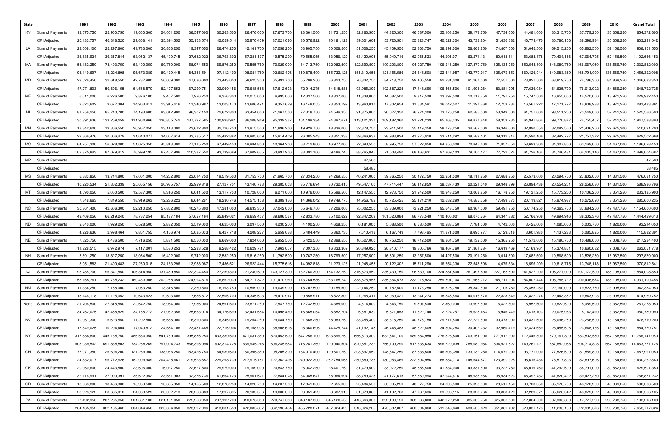| <b>State</b> |                     | 1991        | 1992        | 1993         | 1994         | 1995         | 1996         | 1997        | 1998        | 1999        | 2000          | 2001        | 2002        | 2003        | 2004        | 2005         | 2006        | 2007        | 2008         | 2009        | 2010        | <b>Grand Total</b> |
|--------------|---------------------|-------------|-------------|--------------|--------------|--------------|--------------|-------------|-------------|-------------|---------------|-------------|-------------|-------------|-------------|--------------|-------------|-------------|--------------|-------------|-------------|--------------------|
| KY           | Sum of Payment:     | 12,575,750  | 25,960,750  | 19,660,300   | 24,001,250   | 38,547,000   | 30,263,500   | 26,476,000  | 27,673,75   | 23,361,500  | 31,731,250    | 32,163,50   | 44,325,300  | 46,687,500  | 35,103,250  | 39,173,750   | 47,734,000  | 44,481,00   | 36,315,750   | 37,779,250  | 30,358,250  | 654,372,600        |
|              | CPI Adjusted        | 20,133,757  | 40,348,520  | 29,668,14    | 35,314,552   | 55, 153, 574 | 42,059,51    | 35,970,409  | 37,021,026  | 30,576,922  | 40,181,123    | 39,601,604  | 53,726,501  | 55,328,747  | 40,521,304  | 43,738,204   | 51,630,382  | 46,779,47   | 36,780,106   | 38,398,934  | 30,358,250  | 803,291,042        |
| LA           | Sum of Payment:     | 23,008,100  | 25,297,600  | 41,783,000   | 30,856,250   | 19,347,050   | 26,474,250   | 42,161,750  | 37,058,250  | 53,905,750  | 50,506,500    | 51,508,250  | 45,409,550  | 52,368,750  | 38,291,000  | 56,668,250   | 74,807,500  | 51,045,500  | 69,515,250   | 65,982,500  | 52,156,500  | 908,151,550        |
|              | CPI Adjusted        | 36,835,934  | 39,317,844  | 63,052,137   | 45,400,745   | 27,682,023   | 36,793,302   | 57,281,137  | 49,575,299  | 70,555,055  | 63,956,129    | 63,420,00   | 55,040,716  | 62,061,523  | 44,201,07   | 63,271,131   | 80,913,81   | 53,683,178  | 70,404,116   | 67,064,795  | 52,156,500  | 1,102,666,453      |
| МA           | Sum of Payment      | 58,182,250  | 73,493,750  | 63,400,050   | 60,780,000   | 58,974,550   | 69,876,250   | 79,555,750  | 70,029,00   | 84,713,750  | 122,982,500   | 122,890,50  | 100,203,800 | 104,927,750 | 106,246,250 | 127,870,750  | 125,434,050 | 152,544,500 | 148,089,750  | 166,067,05  | 136,569,750 | 2,032,832,00       |
|              | CPI Adjusted        | 93,149,697  | 114,224,898 | 95,673,089   | 89,429,445   | 84,381,591   | 97,112,400   | 108,084,789 | 93,682,47   | 110,878,400 | 155,732,126   | 151,310,056 | 121,456,586 | 124,348,508 | 122,644,957 | 142,770,01   | 135,672,853 | 160,426,944 | 149,983,319  | 168,791,009 | 136,569,750 | 2,456,322,908      |
| MD           | Sum of Payment      | 29,526,450  | 32,618,550  | 42,787,900   | 56,069,000   | 47,036,000   | 73,443,050   | 58,625,300  | 65,491,750  | 55,708,250  | 66,823,750    | 76,332,75   | 84,718,750  | 99,105,550  | 92,231,000  | 91,267,000   | 77,551,500  | 73,821,500  | 63,819,750   | 74,786,300  | 84,869,250  | 1,346,633,350      |
|              | CPI Adjusted        | 47,271,803  | 50,696,155  | 64,568,570   | 82,497,85    | 67,299,751   | 102,069,456  | 79,648,588  | 87,612,693  | 72,914,275  | 84,618,58     | 93,985,39   | 102,687,225 | 117,448,695 | 106,466,506 | 101,901,264  | 83,881,795  | 77,636,084  | 64,635,790   | 76,013,002  | 84,869,250  | 1,648,722,735      |
| МE           | Sum of Payment:     | 6,011,000   | 6,226,500   | 9,876,100    | 9,457,500    | 7,926,250    | 9,356,300    | 10,015,050  | 6,995,000   | 12,337,500  | 18,837,00     | 11,338,00   | 14,687,500  | 9,817,500   | 13,897,500  | 10,118,750   | 11,791,250  | 15,747,50   | 16,955,000   | 14,570,000  | 13,971,250  | 229,932,450        |
|              | CPI Adjusted        | 9,623,602   | 9,677,304   | 14,903,41    | 13,915,41    | 11,340,987   | 13,003,17    | 13,606,491  | 9,357,67    | 16,148,055  | 23,853,199    | 13,960,01   | 17,802,654  | 11,634,59   | 16,042,527  | 11,297,768   | 12,753,734  | 16,561,222  | 17, 171, 797 | 14,808,988  | 13,971,250  | 281,433,86         |
|              | Sum of Payment:     | 81,756,250  | 85,740,700  | 74,193,600   | 93,012,900   | 96,307,150   | 72,672,800   | 63,454,050  | 71,267,55   | 77,318,750  | 74,546,350    | 91,875,00   | 90,077,350  | 76,974,300  | 73,776,250  | 62,585,500   | 53,949,500  | 61,751,000  | 98,511,250   | 73,549,000  | 52,241,250  | 1,525,560,500      |
|              | <b>CPI Adjusted</b> | 130,891,636 | 133,259,259 | 111,960,966  | 136,855,742  | 137,797,585  | 100,998,981  | 86,208,949  | 95,339,36   | 101,199,384 | 94,397,67     | 113,121,93  | 109,182,360 | 91,221,239  | 85,163,335  | 69,877,848   | 58,353,235  | 64,941,864  | 99,770,87    | 74,755,407  | 52,241,250  | 1,947,538,893      |
| MN           | Sum of Payments     | 18,342,600  | 19,306,550  | 20,967,050   | 23,113,000   | 23,612,800   | 32,726,750   | 13,915,500  | 11,896,250  | 19,929,750  | 18,836,000    | 32,378,750  | 23,911,500  | 35,419,350  | 28,773,250  | 34,562,000   | 36,346,000  | 32,890,550  | 32,082,500   | 21,406,250  | 29,675,300  | 510,091,700        |
|              | <b>CPI Adjusted</b> | 29,366,476  | 30,006,479  | 31,640,077   | 34,007,61    | 33,785,51    | 45,482,882   | 18,905,659  | 15,914,40   | 26,085,243  | 23,851,933    | 39,866,63   | 28,983,024  | 41,975,010  | 33,214,292  | 38,589,101   | 39,312,81   | 34,590,106  | 32,492,727   | 21,757,372  | 29,675,300  | 629,502,668        |
| <b>MO</b>    | Sum of Payments     | 64,257,300  | 56,028,000  | 51,025,350   | 45,813,300   | 77,115,250   | 67,449,450   | 49,984,850  | 40,364,250  | 63,712,800  | 46,977,00     | 72,093,55   | 58,995,750  | 57,522,050  | 84,350,000  | 70,845,400   | 71,857,050  | 58,693,300  | 34,307,800   | 63,169,000  | 51,467,000  | 1,186,028,450      |
|              | CPI Adjusted        | 102,875,843 | 87,079,412  | 76,999,195   | 67,407,996   | 110,337,552  | 93,739,689   | 67,909,635  | 53,997,956  | 83,391,106  | 59,486,740    | 88,765,84   | 71,508,490  | 68,168,631  | 97,369,103  | 79,100,177   | 77,722,524  | 61,726,164  | 34,746,481   | 64,205,146  | 51,467,000  | 1,498,004,687      |
| <b>MP</b>    | Sum of Payments     |             |             |              |              |              |              |             |             |             |               | 47,500      |             |             |             |              |             |             |              |             |             | 47,500             |
|              | CPI Adjusted        |             |             |              |              |              |              |             |             |             |               | 58,485      |             |             |             |              |             |             |              |             |             | 58,485             |
| МS           | Sum of Payment:     | 6,383,850   | 13,744,800  | 17,001,000   | 14,262,800   | 23,014,750   | 19,519,500   | 31,753,750  | 21,965,750  | 27,334,250  | 24,269,550    | 40,241,00   | 39,365,250  | 30,472,750  | 32,951,500  | 18,111,250   | 27,688,750  | 25,573,000  | 20,294,750   | 27,802,000  | 14,331,500  | 476,081,750        |
|              | CPI Adjusted        | 10,220,534  | 21,362,339  | 25,655,156   | 20,985,757   | 32,929,81    | 27,127,751   | 43,140,783  | 29,385,053  | 35,776,694  | 30,732,410    | 49,547,10   | 47,714,447  | 36,112,859  | 38,037,439  | 20,221,540   | 29,948,899  | 26,894,436  | 20,554,251   | 28,258,030  | 14,331,500  | 588,936,796        |
| МT           | Sum of Payments     | 4,590,050   | 5,050,500   | 12,537,300   | 8,316,250    | 6,041,500    | 13,117,750   | 10,728,000  | 6,271,000   | 10,976,000  | 15,596,500    | 12,147,550  | 12,973,750  | 21,242,500  | 10,943,250  | 13,063,250   | 16,178,750  | 19,131,250  | 15,773,250   | 10,106,250  | 8,351,250   | 233,135,900        |
|              | <b>CPI Adjusted</b> | 7,348,663   | 7,849,550   | 18,919,263   | 12,236,223   | 8,644,261    | 18,230,746   | 14,575,108  | 8,389,13    | 14,366,042  | 19,749,770    | 14,956,78   | 15,725,425  | 25,174,210  | 12,632,299  | 14,585,356   | 17,499,373  | 20,119,821  | 15,974,937   | 10,272,020  | 8,351,250   | 285,600,235        |
| NC.          | Sum of Payment:     | 30,861,400  | 42,606,300  | 52,210,250   | 57,862,800   | 40,275,800   | 47,381,000   | 58,633,300  | 67,042,000  | 55,646,750  | 67,206,000    | 75,002,25   | 83,839,000  | 73,221,250  | 95,643,750  | 60,967,000   | 59,491,750  | 50,174,250  | 49,363,750   | 37,684,250  | 49,487,750  | 1,154,600,600      |
|              | CPI Adjusted        | 49,409,056  | 66,219,240  | 78,787,254   | 85, 137, 184 | 57,627,164   | 65,849,021   | 79,659,457  | 89,686,56   | 72,833,780  | 85,102,622    | 92,347,209  | 101,620,884 | 86,773,548  | 110,406,00  | 68,070,764   | 64,347,882  | 52,766,908  | 49,994,946   | 38,302,376  | 49,487,750  | 1,444,429,613      |
| ND.          | Sum of Payments     | 2,640,000   | 1,929,250   | 6,528,500    | 2,832,050    | 3,519,000    | 4,625,000    | 3,097,500   | 4,230,250   | 4,190,250   | 4,628,250     | 6,181,000   | 5,088,500   | 6,580,500   | 10,283,750  | 7,784,000    | 4,742,500   | 3,425,000   | 4,085,000    | 5,003,750   | 1,820,000   | 93,214,050         |
|              | <b>CPI Adjusted</b> | 4,226,636   | 2,998,464   | 9,851,755    | 4,166,974    | 5,035,033    | 6,427,718    | 4,208,277   | 5,659,088   | 5,484,449   | 5,860,730     | 7,610,413   | 6,167,749   | 7,798,465   | 11,871,008  | 8,690,97     | 5,129,616   | 3,601,980   | 4,137,233    | 5,085,825   | 1,820,000   | 115,832,39         |
| NE           | Sum of Payments     | 7,325,750   | 4,486,500   | 4,716,250    | 5,831,500    | 8,550,050    | 6,669,000    | 7,824,000   | 5,952,50    | 5,422,550   | 12,898,55     | 16,527,000  | 16,756,250  | 16,712,500  | 16,864,750  | 19,132,500   | 15,365,250  | 11,572,000  | 15,180,750   | 10,488,000  | 9,008,750   | 217,284,400        |
|              | CPI Adjusted        | 11,728,515  | 6,972,974   | 7,117,00     | 8,580,253    | 12,233,528   | 9,268,422    | 10,629,721  | 7,963,05    | 7,097,356   | 16,333,369    | 20,349,020  | 20,310,177  | 19,805,766  | 19,467,760  | 21,361,784   | 16,619,469  | 12,169,96   | 15,374,861   | 10,660,032  | 9,008,750   | 263,051,778        |
| <b>NH</b>    | Sum of Payments     | 5,591,250   | 13,827,250  | 18,064,500   | 16,402,000   | 9,742,000    | 12,582,250   | 19,816,250  | 11,792,500  | 10,767,250  | 16,799,500    | 17,257,500  | 16,601,250  | 13,257,500  | 14,427,500  | 20, 191, 250 | 13,014,500  | 17,682,500  | 19,568,500   | 13,526,250  | 16,967,500  | 297,879,000        |
|              | CPI Adjusted        | 8,951,583   | 21,490,483  | 27,260,018   | 24,133,296   | 13,938,987   | 17,486,521   | 26,922,444  | 15,775,616  | 14,092,818  | 21,273,123    | 21,248,455  | 20,122,302  | 15,711,290  | 16,654,330  | 22,543,898   | 14,076,834  | 18,596,209  | 19,818,715   | 13,748,118  | 16,967,500  | 370,812,541        |
| NJ           | Sum of Payments     | 98,785,700  | 96,341,550  | 106,314,950  | 137,469,850  | 122,304,450  | 127,259,300  | 121,240,500 | 143,127,300 | 132,760,300 | 184,132,250   | 315,673,550 | 235,430,750 | 196,539,100 | 224,881,500 | 261,497,500  | 227,168,800 | 241,527,000 | 196,277,000  | 197,172,500 | 188,105,000 | 3,554,008,850      |
|              | CPI Adjusted        | 158,155,761 | 149,735,232 | 160,433,306  | 202,268,054  | 174,994,876  | 176,862,039  | 164,717,872 | 191,470,960 | 173,764,586 | 233, 165, 749 | 388,675,955 | 285,364,578 | 232,915,924 | 259,591,108 | 291,966,712  | 245,711,904 | 254,007,444 | 198,786,722  | 200,406,674 | 188,105,000 | 4,331,100,456      |
| NM           | Sum of Payments     | 11,334,250  | 7,158,000   | 7,053,250    | 13,316,500   | 12,360,500   | 16, 193, 750 | 10,559,000  | 19,039,900  | 15,707,500  | 20,155,50     | 22,144,250  | 10,782,500  | 11,173,250  | 16,325,750  | 35,840,500   | 21,105,750  | 26,455,250  | 22,160,000   | 19,523,750  | 23,995,800  | 342,384,950        |
|              | <b>CPI Adjusted</b> | 18,146,118  | 11,125,052  | 10,643,623   | 19,593,406   | 17,685,572   | 22,505,700   | 14,345,503  | 25,470,947  | 20,558,911  | 25,522,809    | 27,265,31   | 13,069,421  | 13,241,273  | 18,845,568  | 40,016,570   | 22,828,549  | 27,822,274  | 22,443,352   | 19,843,993  | 23,995,800  | 414,969,752        |
| None         | Sum of Payments     | 21,706,500  | 27,318,550  | 22,642,750   | 18,984,000   | 17,936,000   | 24,591,500   | 23,871,250  | 7,847,750   | 12,732,500  | 4,385,000     | 4,614,000   | 4,843,750   | 9,807,500   | 2,360,000   | 13,997,500   | 6,422,500   | 8,952,500   | 19,822,500   | 5,059,500   | 3,382,500   | 261,278,050        |
|              | CPI Adjusted        | 34,752,075  | 42,458,829  | 34, 168, 772 | 27,932,356   | 25,663,074   | 34,176,699   | 32,431,584  | 10,498,460  | 16,665,054  | 5,552,704     | 5,681,030   | 5,871,088   | 11,622,740  | 2,724,257   | 15,628,463   | 6,946,749   | 9,415,103   | 20,075,963   | 5,142,490   | 3,382,500   | 350,789,990        |
| NV           | Sum of Payments     | 10,961,300  | 6,623,550   | 11,292,500   | 16,688,000   | 16,390,300   | 16,345,000   | 19,254,250  | 29,084,750  | 21,668,250  | 35,083,250    | 33,455,300  | 38,318,250  | 40,775,750  | 29,717,500  | 27,229,500   | 30,473,000  | 30,831,500  | 28,096,250   | 23,266,500  | 13,164,500  | 478,719,200        |
|              | CPI Adjusted        | 17,549,025  | 10,294,404  | 17,040,812   | 24,554,106   | 23,451,465   | 22,715,904   | 26,158,908  | 38,908,61   | 28,360,696  | 44,425,744    | 41,192,145  | 46,445,383  | 48,322,809  | 34,304,284  | 30,402,232   | 32,960,419  | 32,424,659  | 28,455,506   | 23,648,135  | 13,164,500  | 584,779,751        |
| NY           | Sum of Payments     | 317,888,800 | 445,135,750 | 486,580,350  | 541,739,000  | 395,855,250  | 433,389,500  | 471,031,350 | 520,453,600 | 547,256,100 | 623,899,250   | 666,513,800 | 632,541,100 | 689,684,950 | 776,828,500 | 703,151,100  | 771,912,900 | 712,446,800 | 679,167,800  | 683,503,550 | 667,168,500 | 11,766,147,950     |
|              | CPI Adjusted        | 508,939,502 | 691,835,503 | 734,268,269  | 797,094,733  | 566,395,094  | 602,314,728  | 639,945,246 | 696,245,584 | 716,281,369 | 790,040,504   | 820,651,232 | 766,700,290 | 817,336,638 | 896,729,039 | 785,080,984  | 834,921,822 | 749,261,121 | 687,852,068  | 694,714,898 | 667,168,500 | 14,463,777,126     |
| OH           | Sum of Payments     | 77,971,350  | 126,606,200 | 121,269,300  | 138,936,250  | 153,425,750  | 164,989,600  | 160,396,350 | 95,205,300  | 184,070,400 | 199,601,250   | 203,597,050 | 148,547,250 | 187,838,500 | 146,303,350 | 133,132,250  | 114,079,000 | 93,771,000  | 77,526,500   | 81,559,800  | 79,164,600  | 2,687,991,050      |
|              | CPI Adjusted        | 124,832,017 | 196,772,926 | 182,999,989  | 204,425,66   | 219,523,657  | 229,298,739  | 217,915,181 | 127,362,496 | 240,922,300 | 252,754,066   | 250,680,736 | 180,053,469 | 222,604,956 | 168,884,718 | 148,644,577  | 123,390,925 | 98,616,436  | 78,517,803   | 82,897,606  | 79,164,600  | 3,430,262,860      |
| OK           | Sum of Payments     | 20,060,600  | 24,443,500  | 23,606,000   | 16,027,250   | 22,627,500   | 29,979,000   | 19,109,000  | 20,843,750  | 26,042,250  | 28,401,750    | 31,479,500  | 33,972,250  | 48,655,500  | 41,534,000  | 43,831,500   | 33,222,750  | 46,019,750  | 41,292,500   | 38,791,000  | 39,562,000  | 629,501,350        |
|              | CPI Adjusted        | 32,116,991  | 37,990,391  | 35,622,352   | 23,581,903   | 32,375,736   | 41,664,123   | 25,961,571  | 27,884,078  | 34,085,647  | 35,964,994    | 38,759,423  | 41,177,615  | 57,660,998  | 47,944,616  | 48,938,666   | 35,934,623  | 48,397,732  | 41,820,492   | 39,427,280  | 39,562,000  | 766,871,232        |
| OR           | Sum of Payments     | 18,068,800  | 18,456,300  | 15,963,500   | 13,655,850   | 14,155,500   | 12,878,250   | 14,820,750  | 14,207,550  | 17,841,050  | 22,655,000    | 25,484,550  | 33,935,250  | 40,277,750  | 34,303,500  | 25,098,800   | 28,511,150  | 30,703,050  | 35,176,750   | 43,170,900  | 40,939,250  | 500,303,500        |
|              | CPI Adjusted        | 28,928,122  | 28,685,010  | 24,089,529   | 20,092,713   | 20,253,883   | 17,897,895   | 20,135,536  | 19,006,390  | 23,351,429  | 28,687,913    | 31,378,086  | 41,132,768  | 47,732,636  | 39,598,115  | 28,023,266   | 30,838,429  | 32,289,571  | 35,626,542   | 43,879,022  | 40,939,250  | 602,566,105        |
| PA           | Sum of Payments     | 177,492,950 | 207,285,350 | 201,681,100  | 221,131,050  | 225,953,950  | 297,192,700  | 310,676,050 | 270,747,050 | 348,187,300 | 345,120,550   | 416,666,300 | 392,199,150 | 388,236,800 | 442,972,250 | 385,605,750  | 325,333,500 | 312,864,500 | 307,303,800  | 317,777,250 | 298,788,750 | 6,193,216,100      |
|              | CPI Adjusted        | 284,165,952 | 322,165,462 | 304,344,456  | 325,364,050  | 323,297,996  | 413,031,558  | 422,085,837 | 362,196,434 | 455,728,271 | 437,024,429   | 513,024,205 | 475,382,867 | 460,094,368 | 511,343,340 | 430,535,829  | 351,889,492 | 329,031,173 | 311,233,180  | 322,989,676 | 298,788,750 | 7,653,717,324      |